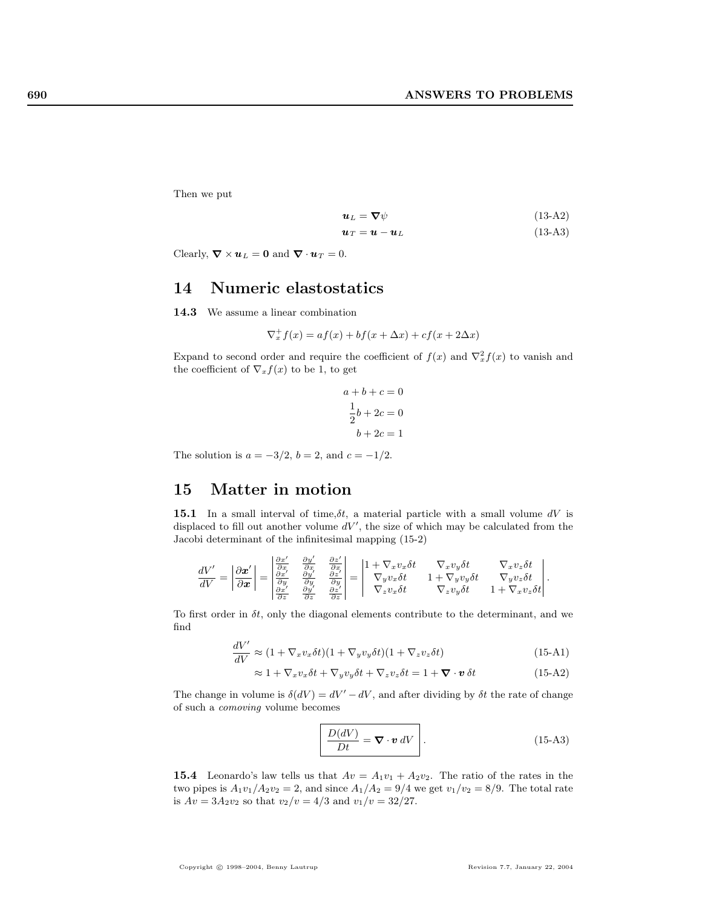Then we put

$$
\mathbf{u}_L = \nabla \psi \tag{13-A2}
$$

$$
\mathbf{u}_T = \mathbf{u} - \mathbf{u}_L \tag{13-A3}
$$

Clearly,  $\nabla \times \mathbf{u}_L = \mathbf{0}$  and  $\nabla \cdot \mathbf{u}_T = 0$ .

## 14 Numeric elastostatics

14.3 We assume a linear combination

$$
\nabla_x^+ f(x) = af(x) + bf(x + \Delta x) + cf(x + 2\Delta x)
$$

Expand to second order and require the coefficient of  $f(x)$  and  $\nabla_x^2 f(x)$  to vanish and the coefficient of  $\nabla_x f(x)$  to be 1, to get

$$
a+b+c=0
$$

$$
\frac{1}{2}b+2c=0
$$

$$
b+2c=1
$$

The solution is  $a = -3/2$ ,  $b = 2$ , and  $c = -1/2$ .

## 15 Matter in motion

**15.1** In a small interval of time,  $\delta t$ , a material particle with a small volume dV is displaced to fill out another volume  $dV'$ , the size of which may be calculated from the Jacobi determinant of the infinitesimal mapping (15-2)

$$
\frac{dV'}{dV} = \left| \frac{\partial \pmb{x}'}{\partial \pmb{x}} \right| = \begin{vmatrix} \frac{\partial \pmb{x}'}{\partial \pmb{x}} & \frac{\partial \pmb{y}'}{\partial \pmb{x}} & \frac{\partial \pmb{z}'}{\partial \pmb{x}} \\ \frac{\partial \pmb{x}'}{\partial \pmb{x}} & \frac{\partial \pmb{y}'}{\partial \pmb{y}} & \frac{\partial \pmb{z}'}{\partial \pmb{z}} \\ \frac{\partial \pmb{x}'}{\partial \pmb{z}} & \frac{\partial \pmb{y}'}{\partial \pmb{z}} & \frac{\partial \pmb{z}'}{\partial \pmb{z}} \end{vmatrix} = \begin{vmatrix} 1 + \nabla_{\pmb{x}} v_x \delta t & \nabla_{\pmb{x}} v_y \delta t & \nabla_{\pmb{x}} v_z \delta t \\ \nabla_{\pmb{y}} v_x \delta t & 1 + \nabla_{\pmb{y}} v_y \delta t & \nabla_{\pmb{y}} v_z \delta t \\ \nabla_{\pmb{z}} v_x \delta t & \nabla_{\pmb{z}} v_y \delta t & 1 + \nabla_{\pmb{x}} v_z \delta t \end{vmatrix}.
$$

To first order in  $\delta t$ , only the diagonal elements contribute to the determinant, and we find

$$
\frac{dV'}{dV} \approx (1 + \nabla_x v_x \delta t)(1 + \nabla_y v_y \delta t)(1 + \nabla_z v_z \delta t)
$$
\n(15-A1)

$$
\approx 1 + \nabla_x v_x \delta t + \nabla_y v_y \delta t + \nabla_z v_z \delta t = 1 + \nabla \cdot \mathbf{v} \delta t \tag{15-A2}
$$

The change in volume is  $\delta(dV) = dV' - dV$ , and after dividing by  $\delta t$  the rate of change of such a comoving volume becomes

$$
\frac{D(dV)}{Dt} = \nabla \cdot \mathbf{v} \, dV \quad . \tag{15-A3}
$$

**15.4** Leonardo's law tells us that  $Av = A_1v_1 + A_2v_2$ . The ratio of the rates in the two pipes is  $A_1v_1/A_2v_2 = 2$ , and since  $A_1/A_2 = 9/4$  we get  $v_1/v_2 = 8/9$ . The total rate is  $Av = 3A_2v_2$  so that  $v_2/v = 4/3$  and  $v_1/v = 32/27$ .